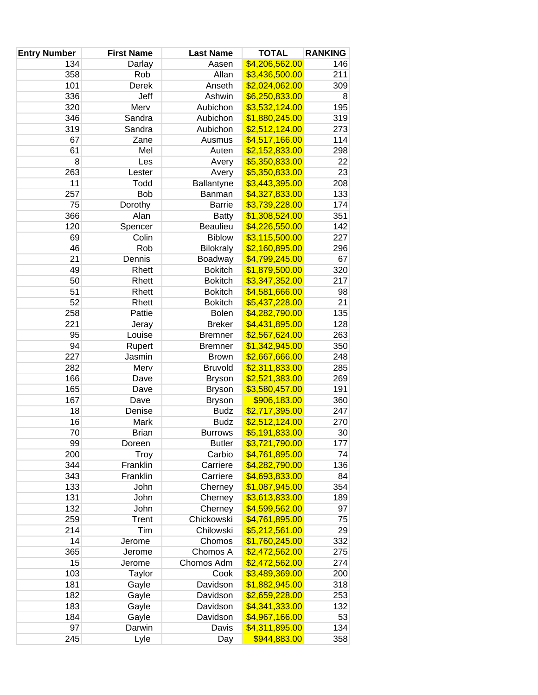| <b>Entry Number</b> | <b>First Name</b> | <b>Last Name</b> | <b>TOTAL</b>   | <b>RANKING</b> |
|---------------------|-------------------|------------------|----------------|----------------|
| 134                 | Darlay            | Aasen            | \$4,206,562.00 | 146            |
| 358                 | Rob               | Allan            | \$3,436,500.00 | 211            |
| 101                 | Derek             | Anseth           | \$2,024,062.00 | 309            |
| 336                 | Jeff              | Ashwin           | \$6,250,833.00 | 8              |
| 320                 | Merv              | Aubichon         | \$3,532,124.00 | 195            |
| 346                 | Sandra            | Aubichon         | \$1,880,245.00 | 319            |
| 319                 | Sandra            | Aubichon         | \$2,512,124.00 | 273            |
| 67                  | Zane              | Ausmus           | \$4,517,166.00 | 114            |
| 61                  | Mel               | Auten            | \$2,152,833.00 | 298            |
| 8                   | Les               | Avery            | \$5,350,833.00 | 22             |
| 263                 | Lester            | Avery            | \$5,350,833.00 | 23             |
| 11                  | Todd              | Ballantyne       | \$3,443,395.00 | 208            |
| 257                 | <b>Bob</b>        | Banman           | \$4,327,833.00 | 133            |
| 75                  | Dorothy           | <b>Barrie</b>    | \$3,739,228.00 | 174            |
| 366                 | Alan              | <b>Batty</b>     | \$1,308,524.00 | 351            |
| 120                 | Spencer           | Beaulieu         | \$4,226,550.00 | 142            |
| 69                  | Colin             | <b>Biblow</b>    | \$3,115,500.00 | 227            |
| 46                  | Rob               | <b>Bilokraly</b> | \$2,160,895.00 | 296            |
| 21                  | Dennis            | Boadway          | \$4,799,245.00 | 67             |
| 49                  | Rhett             | <b>Bokitch</b>   | \$1,879,500.00 | 320            |
| 50                  | Rhett             | <b>Bokitch</b>   | \$3,347,352.00 | 217            |
| 51                  | Rhett             | <b>Bokitch</b>   | \$4,581,666.00 | 98             |
| 52                  | Rhett             | <b>Bokitch</b>   | \$5,437,228.00 | 21             |
| 258                 | Pattie            | <b>Bolen</b>     | \$4,282,790.00 | 135            |
| 221                 | Jeray             | <b>Breker</b>    | \$4,431,895.00 | 128            |
| 95                  | Louise            | <b>Bremner</b>   | \$2,567,624.00 | 263            |
| 94                  | Rupert            | <b>Bremner</b>   | \$1,342,945.00 | 350            |
| 227                 | Jasmin            | <b>Brown</b>     | \$2,667,666.00 | 248            |
| 282                 | Merv              | <b>Bruvold</b>   | \$2,311,833.00 | 285            |
| 166                 | Dave              | <b>Bryson</b>    | \$2,521,383.00 | 269            |
| 165                 | Dave              | <b>Bryson</b>    | \$3,580,457.00 | 191            |
| 167                 | Dave              | <b>Bryson</b>    | \$906,183.00   | 360            |
| 18                  | Denise            | <b>Budz</b>      | \$2,717,395.00 | 247            |
| 16                  | Mark              | <b>Budz</b>      | \$2,512,124.00 | 270            |
| 70                  | <b>Brian</b>      | <b>Burrows</b>   | \$5,191,833.00 | 30             |
| 99                  | Doreen            | <b>Butler</b>    | \$3,721,790.00 | 177            |
| 200                 | <b>Troy</b>       | Carbio           | \$4,761,895.00 | 74             |
| 344                 | Franklin          | Carriere         | \$4,282,790.00 | 136            |
| 343                 | Franklin          | Carriere         | \$4,693,833.00 | 84             |
| 133                 | John              | Cherney          | \$1,087,945.00 | 354            |
| 131                 | John              | Cherney          | \$3,613,833.00 | 189            |
| 132                 | John              | Cherney          | \$4,599,562.00 | 97             |
| 259                 | <b>Trent</b>      | Chickowski       | \$4,761,895.00 | 75             |
| 214                 | Tim               | Chilowski        | \$5,212,561.00 | 29             |
| 14                  | Jerome            | Chomos           | \$1,760,245.00 | 332            |
| 365                 | Jerome            | Chomos A         | \$2,472,562.00 | 275            |
| 15                  | Jerome            | Chomos Adm       | \$2,472,562.00 | 274            |
| 103                 | Taylor            | Cook             | \$3,489,369.00 | 200            |
| 181                 | Gayle             | Davidson         | \$1,882,945.00 | 318            |
| 182                 | Gayle             | Davidson         | \$2,659,228.00 | 253            |
| 183                 | Gayle             | Davidson         | \$4,341,333.00 | 132            |
| 184                 | Gayle             | Davidson         | \$4,967,166.00 | 53             |
| 97                  | Darwin            | Davis            | \$4,311,895.00 | 134            |
| 245                 | Lyle              | Day              | \$944,883.00   | 358            |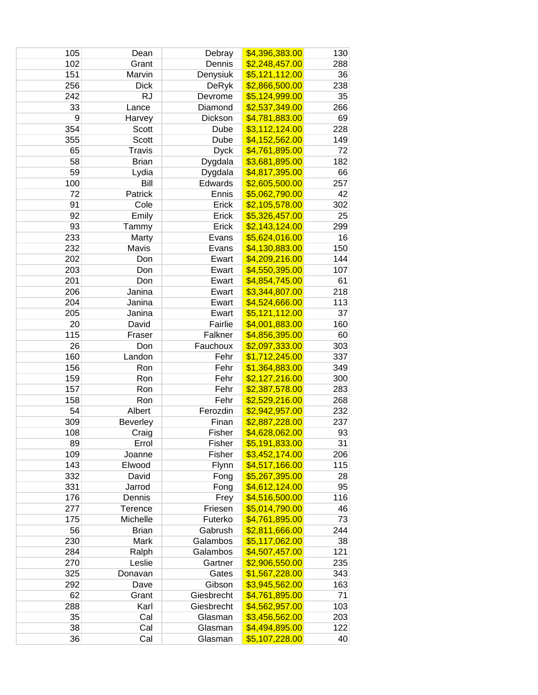| 105 | Dean            | Debray       | \$4,396,383.00 | 130 |
|-----|-----------------|--------------|----------------|-----|
| 102 | Grant           | Dennis       | \$2,248,457.00 | 288 |
| 151 | Marvin          | Denysiuk     | \$5,121,112.00 | 36  |
| 256 | <b>Dick</b>     | <b>DeRyk</b> | \$2,866,500.00 | 238 |
| 242 | <b>RJ</b>       | Devrome      | \$5,124,999.00 | 35  |
| 33  | Lance           | Diamond      | \$2,537,349.00 | 266 |
| 9   | Harvey          | Dickson      | \$4,781,883.00 | 69  |
| 354 | Scott           | Dube         | \$3,112,124.00 | 228 |
| 355 | Scott           | Dube         | \$4,152,562.00 | 149 |
| 65  | <b>Travis</b>   | <b>Dyck</b>  | \$4,761,895.00 | 72  |
| 58  | <b>Brian</b>    | Dygdala      | \$3,681,895.00 | 182 |
| 59  | Lydia           | Dygdala      | \$4,817,395.00 | 66  |
| 100 | Bill            | Edwards      | \$2,605,500.00 | 257 |
| 72  | Patrick         | Ennis        | \$5,062,790.00 | 42  |
| 91  | Cole            | Erick        | \$2,105,578.00 | 302 |
| 92  | Emily           | Erick        | \$5,326,457.00 | 25  |
| 93  | Tammy           | Erick        | \$2,143,124.00 | 299 |
| 233 | Marty           | Evans        | \$5,624,016.00 | 16  |
| 232 | Mavis           | Evans        | \$4,130,883.00 | 150 |
| 202 | Don             | Ewart        | \$4,209,216.00 | 144 |
| 203 | Don             | Ewart        | \$4,550,395.00 | 107 |
| 201 | Don             | Ewart        | \$4,854,745.00 | 61  |
| 206 | Janina          | Ewart        | \$3,344,807.00 | 218 |
| 204 | Janina          | Ewart        | \$4,524,666.00 | 113 |
| 205 | Janina          | Ewart        | \$5,121,112.00 | 37  |
| 20  | David           | Fairlie      | \$4,001,883.00 | 160 |
| 115 | Fraser          | Falkner      | \$4,856,395.00 | 60  |
| 26  | Don             | Fauchoux     | \$2,097,333.00 | 303 |
| 160 | Landon          | Fehr         | \$1,712,245.00 | 337 |
| 156 | Ron             | Fehr         | \$1,364,883.00 | 349 |
| 159 | Ron             | Fehr         | \$2,127,216.00 | 300 |
| 157 | Ron             | Fehr         | \$2,387,578.00 | 283 |
| 158 | Ron             | Fehr         | \$2,529,216.00 | 268 |
| 54  | Albert          | Ferozdin     | \$2,942,957.00 | 232 |
| 309 | <b>Beverley</b> | Finan        | \$2,887,228.00 | 237 |
| 108 | Craig           | Fisher       | \$4,628,062.00 | 93  |
| 89  | Errol           | Fisher       | \$5,191,833.00 | 31  |
| 109 | Joanne          | Fisher       | \$3,452,174.00 | 206 |
| 143 | Elwood          | Flynn        | \$4,517,166.00 | 115 |
| 332 | David           | Fong         | \$5,267,395.00 | 28  |
| 331 | Jarrod          | Fong         | \$4,612,124.00 | 95  |
| 176 | Dennis          | Frey         | \$4,516,500.00 | 116 |
| 277 | Terence         | Friesen      | \$5,014,790.00 | 46  |
| 175 | Michelle        | Futerko      | \$4,761,895.00 | 73  |
| 56  | <b>Brian</b>    | Gabrush      | \$2,811,666.00 | 244 |
| 230 | Mark            | Galambos     | \$5,117,062.00 | 38  |
| 284 | Ralph           | Galambos     | \$4,507,457.00 | 121 |
| 270 | Leslie          | Gartner      | \$2,906,550.00 | 235 |
| 325 | Donavan         | Gates        | \$1,567,228.00 | 343 |
| 292 | Dave            | Gibson       | \$3,945,562.00 | 163 |
| 62  | Grant           | Giesbrecht   | \$4,761,895.00 | 71  |
| 288 | Karl            | Giesbrecht   | \$4,562,957.00 | 103 |
| 35  | Cal             | Glasman      | \$3,456,562.00 | 203 |
| 38  | Cal             | Glasman      | \$4,494,895.00 | 122 |
| 36  | Cal             | Glasman      | \$5,107,228.00 | 40  |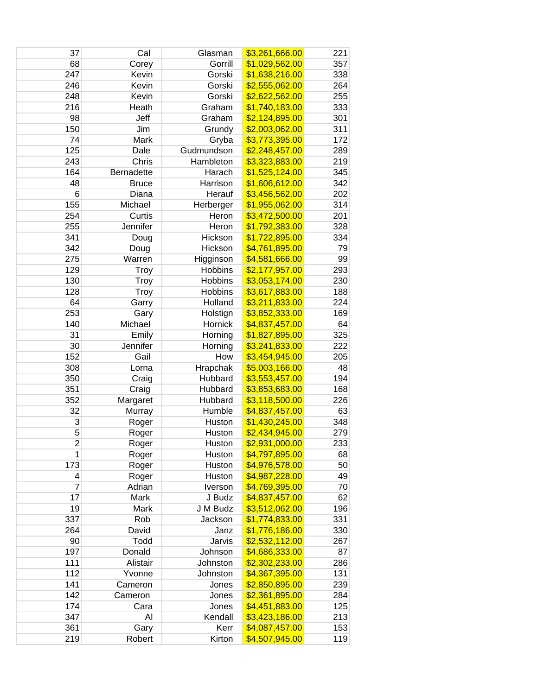| 37             | Cal          | Glasman        | \$3,261,666.00 | 221 |
|----------------|--------------|----------------|----------------|-----|
| 68             | Corey        | Gorrill        | \$1,029,562.00 | 357 |
| 247            | Kevin        | Gorski         | \$1,638,216.00 | 338 |
| 246            | Kevin        | Gorski         | \$2,555,062.00 | 264 |
| 248            | Kevin        | Gorski         | \$2,622,562.00 | 255 |
| 216            | Heath        | Graham         | \$1,740,183.00 | 333 |
| 98             | Jeff         | Graham         | \$2,124,895.00 | 301 |
| 150            | Jim          | Grundy         | \$2,003,062.00 | 311 |
| 74             | Mark         | Gryba          | \$3,773,395.00 | 172 |
| 125            | Dale         | Gudmundson     | \$2,248,457.00 | 289 |
| 243            | Chris        | Hambleton      | \$3,323,883.00 | 219 |
| 164            | Bernadette   | Harach         | \$1,525,124.00 | 345 |
| 48             | <b>Bruce</b> | Harrison       | \$1,606,612.00 | 342 |
| 6              | Diana        | Herauf         | \$3,456,562.00 | 202 |
| 155            | Michael      | Herberger      | \$1,955,062.00 | 314 |
| 254            | Curtis       | Heron          | \$3,472,500.00 | 201 |
| 255            | Jennifer     | Heron          | \$1,792,383.00 | 328 |
| 341            | Doug         | Hickson        | \$1,722,895.00 | 334 |
| 342            | Doug         | Hickson        | \$4,761,895.00 | 79  |
| 275            | Warren       | Higginson      | \$4,581,666.00 | 99  |
| 129            | Troy         | <b>Hobbins</b> | \$2,177,957.00 | 293 |
| 130            | <b>Troy</b>  | Hobbins        | \$3,053,174.00 | 230 |
| 128            | Troy         | Hobbins        | \$3,617,883.00 | 188 |
| 64             | Garry        | Holland        | \$3,211,833.00 | 224 |
| 253            | Gary         | Holstign       | \$3,852,333.00 | 169 |
| 140            | Michael      | Hornick        | \$4,837,457.00 | 64  |
| 31             | Emily        | Horning        | \$1,827,895.00 | 325 |
| 30             | Jennifer     | Horning        | \$3,241,833.00 | 222 |
| 152            | Gail         | How            | \$3,454,945.00 | 205 |
| 308            | Lorna        | Hrapchak       | \$5,003,166.00 | 48  |
| 350            | Craig        | Hubbard        | \$3,553,457.00 | 194 |
| 351            | Craig        | Hubbard        | \$3,853,683.00 | 168 |
| 352            | Margaret     | Hubbard        | \$3,118,500.00 | 226 |
| 32             | Murray       | Humble         | \$4,837,457.00 | 63  |
| 3              | Roger        | Huston         | \$1,430,245.00 | 348 |
| 5              | Roger        | Huston         | \$2,434,945.00 | 279 |
| 2              | Roger        | Huston         | \$2,931,000.00 | 233 |
| 1              | Roger        | Huston         | \$4,797,895.00 | 68  |
| 173            | Roger        | Huston         | \$4,976,578.00 | 50  |
| 4              | Roger        | Huston         | \$4,987,228.00 | 49  |
| $\overline{7}$ | Adrian       | Iverson        | \$4,769,395.00 | 70  |
| 17             | Mark         | J Budz         | \$4,837,457.00 | 62  |
| 19             | Mark         | J M Budz       | \$3,512,062.00 | 196 |
| 337            | Rob          | Jackson        | \$1,774,833.00 | 331 |
| 264            | David        | Janz           | \$1,776,186.00 | 330 |
| 90             | Todd         | Jarvis         | \$2,532,112.00 | 267 |
| 197            | Donald       | Johnson        | \$4,686,333.00 | 87  |
| 111            | Alistair     | Johnston       | \$2,302,233.00 | 286 |
| 112            | Yvonne       | Johnston       | \$4,367,395.00 | 131 |
| 141            | Cameron      | Jones          | \$2,850,895.00 | 239 |
| 142            | Cameron      | Jones          | \$2,361,895.00 | 284 |
| 174            | Cara         | Jones          | \$4,451,883.00 | 125 |
| 347            | Al           | Kendall        | \$3,423,186.00 | 213 |
| 361            | Gary         | Kerr           | \$4,087,457.00 | 153 |
| 219            | Robert       | Kirton         | \$4,507,945.00 | 119 |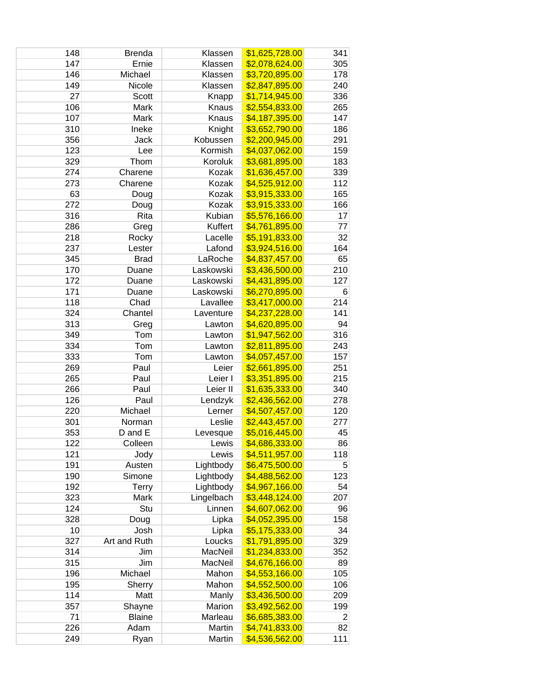| 148 | <b>Brenda</b> | Klassen    | \$1,625,728.00 | 341 |
|-----|---------------|------------|----------------|-----|
| 147 | Ernie         | Klassen    | \$2,078,624.00 | 305 |
| 146 | Michael       | Klassen    | \$3,720,895.00 | 178 |
| 149 | Nicole        | Klassen    | \$2,847,895.00 | 240 |
| 27  | Scott         | Knapp      | \$1,714,945.00 | 336 |
| 106 | Mark          | Knaus      | \$2,554,833.00 | 265 |
| 107 | Mark          | Knaus      | \$4,187,395.00 | 147 |
| 310 | Ineke         | Knight     | \$3,652,790.00 | 186 |
| 356 | Jack          | Kobussen   | \$2,200,945.00 | 291 |
| 123 | Lee           | Kormish    | \$4,037,062.00 | 159 |
| 329 | Thom          | Koroluk    | \$3,681,895.00 | 183 |
| 274 | Charene       | Kozak      | \$1,636,457.00 | 339 |
| 273 | Charene       | Kozak      | \$4,525,912.00 | 112 |
| 63  | Doug          | Kozak      | \$3,915,333.00 | 165 |
| 272 | Doug          | Kozak      | \$3,915,333.00 | 166 |
| 316 | Rita          | Kubian     | \$5,576,166.00 | 17  |
| 286 | Greg          | Kuffert    | \$4,761,895.00 | 77  |
| 218 | Rocky         | Lacelle    | \$5,191,833.00 | 32  |
| 237 | Lester        | Lafond     | \$3,924,516.00 | 164 |
| 345 | <b>Brad</b>   | LaRoche    | \$4,837,457.00 | 65  |
| 170 | Duane         | Laskowski  | \$3,436,500.00 | 210 |
| 172 | Duane         | Laskowski  | \$4,431,895.00 | 127 |
| 171 | Duane         | Laskowski  | \$6,270,895.00 | 6   |
| 118 | Chad          | Lavallee   | \$3,417,000.00 | 214 |
| 324 | Chantel       | Laventure  | \$4,237,228.00 | 141 |
| 313 | Greg          | Lawton     | \$4,620,895.00 | 94  |
| 349 | Tom           | Lawton     | \$1,947,562.00 | 316 |
| 334 | Tom           | Lawton     | \$2,811,895.00 | 243 |
| 333 | Tom           | Lawton     | \$4,057,457.00 | 157 |
| 269 | Paul          | Leier      | \$2,661,895.00 | 251 |
| 265 | Paul          | Leier I    | \$3,351,895.00 | 215 |
| 266 | Paul          | Leier II   | \$1,635,333.00 | 340 |
| 126 | Paul          | Lendzyk    | \$2,436,562.00 | 278 |
| 220 | Michael       | Lerner     | \$4,507,457.00 | 120 |
| 301 | Norman        | Leslie     | \$2,443,457.00 | 277 |
| 353 | D and E       | Levesque   | \$5,016,445.00 | 45  |
| 122 | Colleen       | Lewis      | \$4,686,333.00 | 86  |
| 121 | Jody          | Lewis      | \$4,511,957.00 | 118 |
| 191 | Austen        | Lightbody  | \$6,475,500.00 | 5   |
| 190 | Simone        | Lightbody  | \$4,488,562.00 | 123 |
| 192 | <b>Terry</b>  | Lightbody  | \$4,967,166.00 | 54  |
| 323 | Mark          | Lingelbach | \$3,448,124.00 | 207 |
| 124 | Stu           | Linnen     | \$4,607,062.00 | 96  |
| 328 | Doug          | Lipka      | \$4,052,395.00 | 158 |
| 10  | Josh          | Lipka      | \$5,175,333.00 | 34  |
| 327 | Art and Ruth  | Loucks     | \$1,791,895.00 | 329 |
| 314 | Jim           | MacNeil    | \$1,234,833.00 | 352 |
| 315 | Jim           | MacNeil    | \$4,676,166.00 | 89  |
| 196 | Michael       | Mahon      | \$4,553,166.00 | 105 |
| 195 | Sherry        | Mahon      | \$4,552,500.00 | 106 |
| 114 | Matt          | Manly      | \$3,436,500.00 | 209 |
| 357 | Shayne        | Marion     | \$3,492,562.00 | 199 |
| 71  | <b>Blaine</b> | Marleau    | \$6,685,383.00 | 2   |
| 226 | Adam          | Martin     | \$4,741,833.00 | 82  |
| 249 | Ryan          | Martin     | \$4,536,562.00 | 111 |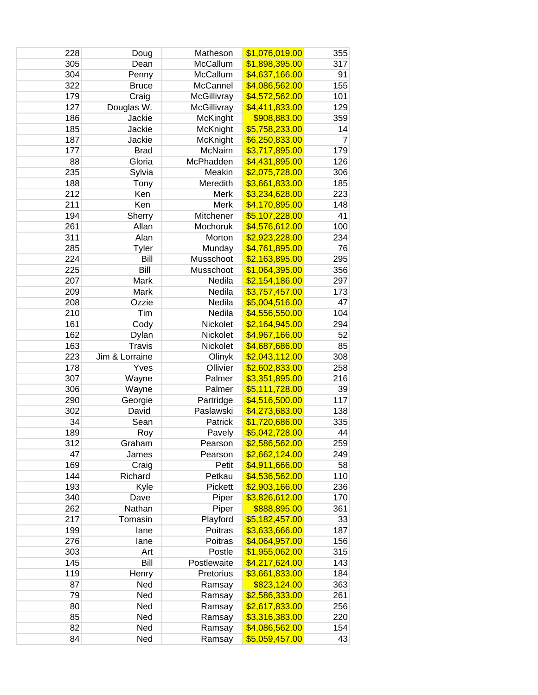| 228 | Doug           | Matheson        | \$1,076,019.00        | 355            |
|-----|----------------|-----------------|-----------------------|----------------|
| 305 | Dean           | McCallum        | \$1,898,395.00        | 317            |
| 304 | Penny          | McCallum        | \$4,637,166.00        | 91             |
| 322 | <b>Bruce</b>   | McCannel        | \$4,086,562.00        | 155            |
| 179 | Craig          | McGillivray     | \$4,572,562.00        | 101            |
| 127 | Douglas W.     | McGillivray     | \$4,411,833.00        | 129            |
| 186 | Jackie         | <b>McKinght</b> | \$908,883.00          | 359            |
| 185 | Jackie         | McKnight        | \$5,758,233.00        | 14             |
| 187 | Jackie         | McKnight        | \$6,250,833.00        | $\overline{7}$ |
| 177 | <b>Brad</b>    | McNairn         | \$3,717,895.00        | 179            |
| 88  | Gloria         | McPhadden       | \$4,431,895.00        | 126            |
| 235 | Sylvia         | Meakin          | \$2,075,728.00        | 306            |
| 188 | Tony           | Meredith        | \$3,661,833.00        | 185            |
| 212 | Ken            | Merk            | \$3,234,628.00        | 223            |
| 211 | Ken            | Merk            | \$4,170,895.00        | 148            |
| 194 | Sherry         | Mitchener       | \$5,107,228.00        | 41             |
| 261 | Allan          | Mochoruk        | \$4,576,612.00        | 100            |
| 311 | Alan           | Morton          | \$2,923,228.00        | 234            |
| 285 | Tyler          | Munday          | \$4,761,895.00        | 76             |
| 224 | Bill           | Musschoot       | \$2,163,895.00        | 295            |
| 225 | Bill           | Musschoot       | \$1,064,395.00        | 356            |
| 207 | Mark           | Nedila          | \$2,154,186.00        | 297            |
| 209 | Mark           | Nedila          | \$3,757,457.00        | 173            |
| 208 | Ozzie          | Nedila          | \$5,004,516.00        | 47             |
| 210 | Tim            | Nedila          | \$4,556,550.00        | 104            |
| 161 | Cody           | Nickolet        | \$2,164,945.00        | 294            |
| 162 | Dylan          | Nickolet        | \$4,967,166.00        | 52             |
| 163 | <b>Travis</b>  | Nickolet        | \$4,687,686.00        | 85             |
| 223 | Jim & Lorraine | Olinyk          | \$2,043,112.00        | 308            |
| 178 | Yves           | Ollivier        | \$2,602,833.00        | 258            |
| 307 | Wayne          | Palmer          | \$3,351,895.00        | 216            |
| 306 | Wayne          | Palmer          | \$5,111,728.00        | 39             |
| 290 | Georgie        | Partridge       | \$4,516,500.00        | 117            |
| 302 | David          | Paslawski       | \$4,273,683.00        | 138            |
| 34  | Sean           | Patrick         | \$1,720,686.00        | 335            |
| 189 | Roy            | Pavely          | \$5,042,728.00        | 44             |
| 312 | Graham         | Pearson         | <u>\$2,586,562.00</u> | 259            |
| 47  | James          | Pearson         | \$2,662,124.00        | 249            |
| 169 | Craig          | Petit           | \$4,911,666.00        | 58             |
| 144 | Richard        | Petkau          | \$4,536,562.00        | 110            |
| 193 | Kyle           | Pickett         | \$2,903,166.00        | 236            |
| 340 | Dave           | Piper           | \$3,826,612.00        | 170            |
| 262 | Nathan         | Piper           | \$888,895.00          | 361            |
| 217 | Tomasin        | Playford        | \$5,182,457.00        | 33             |
| 199 | lane           | Poitras         | \$3,633,666.00        | 187            |
| 276 | lane           | Poitras         | \$4,064,957.00        | 156            |
| 303 | Art            | Postle          | \$1,955,062.00        | 315            |
| 145 | Bill           | Postlewaite     | \$4,217,624.00        | 143            |
| 119 | Henry          | Pretorius       | \$3,661,833.00        | 184            |
| 87  | Ned            | Ramsay          | \$823,124.00          | 363            |
| 79  | Ned            | Ramsay          | \$2,586,333.00        | 261            |
| 80  | Ned            | Ramsay          | \$2,617,833.00        | 256            |
| 85  | Ned            | Ramsay          | \$3,316,383.00        | 220            |
| 82  | Ned            | Ramsay          | \$4,086,562.00        | 154            |
| 84  | Ned            | Ramsay          | \$5,059,457.00        | 43             |
|     |                |                 |                       |                |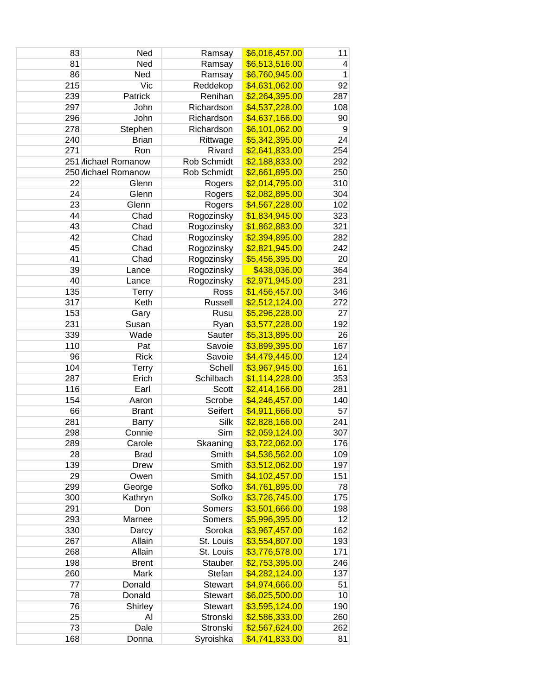| 83  | Ned                        | Ramsay         | \$6,016,457.00 | 11           |
|-----|----------------------------|----------------|----------------|--------------|
| 81  | Ned                        | Ramsay         | \$6,513,516.00 | 4            |
| 86  | Ned                        | Ramsay         | \$6,760,945.00 | $\mathbf{1}$ |
| 215 | Vic                        | Reddekop       | \$4,631,062.00 | 92           |
| 239 | Patrick                    | Renihan        | \$2,264,395.00 | 287          |
| 297 | John                       | Richardson     | \$4,537,228.00 | 108          |
| 296 | John                       | Richardson     | \$4,637,166.00 | 90           |
| 278 | Stephen                    | Richardson     | \$6,101,062.00 | 9            |
| 240 | <b>Brian</b>               | Rittwage       | \$5,342,395.00 | 24           |
| 271 | Ron                        | Rivard         | \$2,641,833.00 | 254          |
|     | 251 <i>Aichael Romanow</i> | Rob Schmidt    | \$2,188,833.00 | 292          |
|     | 250 lichael Romanow        | Rob Schmidt    | \$2,661,895.00 | 250          |
| 22  | Glenn                      | Rogers         | \$2,014,795.00 | 310          |
| 24  | Glenn                      | Rogers         | \$2,082,895.00 | 304          |
| 23  | Glenn                      | Rogers         | \$4,567,228.00 | 102          |
| 44  | Chad                       | Rogozinsky     | \$1,834,945.00 | 323          |
| 43  | Chad                       | Rogozinsky     | \$1,862,883.00 | 321          |
| 42  | Chad                       | Rogozinsky     | \$2,394,895.00 | 282          |
| 45  | Chad                       | Rogozinsky     | \$2,821,945.00 | 242          |
| 41  | Chad                       | Rogozinsky     | \$5,456,395.00 | 20           |
| 39  | Lance                      | Rogozinsky     | \$438,036.00   | 364          |
| 40  | Lance                      | Rogozinsky     | \$2,971,945.00 | 231          |
| 135 | <b>Terry</b>               | Ross           | \$1,456,457.00 | 346          |
| 317 | Keth                       | Russell        | \$2,512,124.00 | 272          |
| 153 | Gary                       | Rusu           | \$5,296,228.00 | 27           |
| 231 | Susan                      | Ryan           | \$3,577,228.00 | 192          |
| 339 | Wade                       | Sauter         | \$5,313,895.00 | 26           |
| 110 | Pat                        | Savoie         | \$3,899,395.00 | 167          |
| 96  | <b>Rick</b>                | Savoie         | \$4,479,445.00 | 124          |
| 104 | <b>Terry</b>               | Schell         | \$3,967,945.00 | 161          |
| 287 | Erich                      | Schilbach      | \$1,114,228.00 | 353          |
| 116 | Earl                       | Scott          | \$2,414,166.00 | 281          |
| 154 | Aaron                      | Scrobe         | \$4,246,457.00 | 140          |
| 66  | <b>Brant</b>               | Seifert        | \$4,911,666.00 | 57           |
| 281 | <b>Barry</b>               | Silk           | \$2,828,166.00 | 241          |
| 298 | Connie                     | Sim            | \$2,059,124.00 | 307          |
| 289 | Carole                     | Skaaning       | \$3,722,062.00 | 176          |
| 28  | <b>Brad</b>                | Smith          | \$4,536,562.00 | 109          |
| 139 | Drew                       | Smith          | \$3,512,062.00 | 197          |
| 29  | Owen                       | Smith          | \$4,102,457.00 | 151          |
| 299 | George                     | Sofko          | \$4,761,895.00 | 78           |
| 300 | Kathryn                    | Sofko          | \$3,726,745.00 | 175          |
| 291 | Don                        | Somers         | \$3,501,666.00 | 198          |
| 293 | Marnee                     | Somers         | \$5,996,395.00 | 12           |
| 330 | Darcy                      | Soroka         | \$3,967,457.00 | 162          |
| 267 | Allain                     | St. Louis      | \$3,554,807.00 | 193          |
| 268 | Allain                     | St. Louis      | \$3,776,578.00 | 171          |
| 198 | <b>Brent</b>               | Stauber        | \$2,753,395.00 | 246          |
| 260 | Mark                       | Stefan         | \$4,282,124.00 | 137          |
| 77  | Donald                     | <b>Stewart</b> | \$4,974,666.00 | 51           |
| 78  | Donald                     | <b>Stewart</b> | \$6,025,500.00 | 10           |
| 76  | Shirley                    | Stewart        | \$3,595,124.00 | 190          |
| 25  | Al                         | Stronski       | \$2,586,333.00 | 260          |
| 73  | Dale                       | Stronski       | \$2,567,624.00 | 262          |
| 168 | Donna                      | Syroishka      | \$4,741,833.00 | 81           |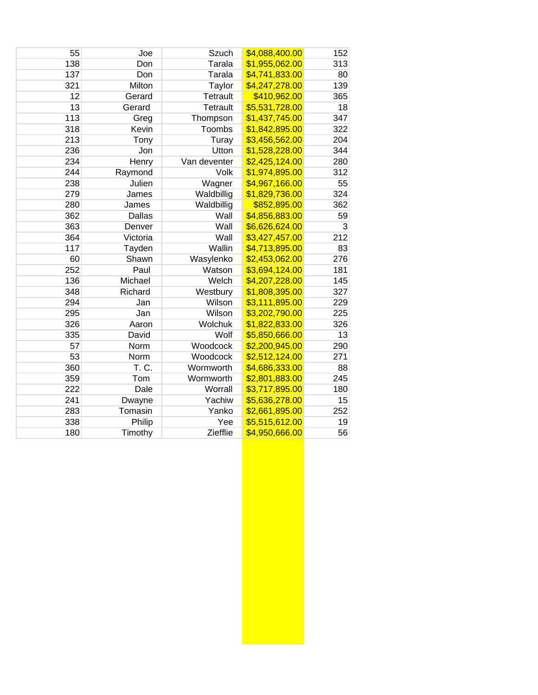| 55  | Joe      | Szuch           | \$4,088,400.00 | 152 |
|-----|----------|-----------------|----------------|-----|
| 138 | Don      | Tarala          | \$1,955,062.00 | 313 |
| 137 | Don      | Tarala          | \$4,741,833.00 | 80  |
| 321 | Milton   | Taylor          | \$4,247,278.00 | 139 |
| 12  | Gerard   | <b>Tetrault</b> | \$410,962.00   | 365 |
| 13  | Gerard   | <b>Tetrault</b> | \$5,531,728.00 | 18  |
| 113 | Greg     | Thompson        | \$1,437,745.00 | 347 |
| 318 | Kevin    | Toombs          | \$1,842,895.00 | 322 |
| 213 | Tony     | Turay           | \$3,456,562.00 | 204 |
| 236 | Jon      | Utton           | \$1,528,228.00 | 344 |
| 234 | Henry    | Van deventer    | \$2,425,124.00 | 280 |
| 244 | Raymond  | Volk            | \$1,974,895.00 | 312 |
| 238 | Julien   | Wagner          | \$4,967,166.00 | 55  |
| 279 | James    | Waldbillig      | \$1,829,736.00 | 324 |
| 280 | James    | Waldbillig      | \$852,895.00   | 362 |
| 362 | Dallas   | Wall            | \$4,856,883.00 | 59  |
| 363 | Denver   | Wall            | \$6,626,624.00 | 3   |
| 364 | Victoria | Wall            | \$3,427,457.00 | 212 |
| 117 | Tayden   | Wallin          | \$4,713,895.00 | 83  |
| 60  | Shawn    | Wasylenko       | \$2,453,062.00 | 276 |
| 252 | Paul     | Watson          | \$3,694,124.00 | 181 |
| 136 | Michael  | Welch           | \$4,207,228.00 | 145 |
| 348 | Richard  | Westbury        | \$1,808,395.00 | 327 |
| 294 | Jan      | Wilson          | \$3,111,895.00 | 229 |
| 295 | Jan      | Wilson          | \$3,202,790.00 | 225 |
| 326 | Aaron    | Wolchuk         | \$1,822,833.00 | 326 |
| 335 | David    | Wolf            | \$5,850,666.00 | 13  |
| 57  | Norm     | Woodcock        | \$2,200,945.00 | 290 |
| 53  | Norm     | Woodcock        | \$2,512,124.00 | 271 |
| 360 | T. C.    | Wormworth       | \$4,686,333.00 | 88  |
| 359 | Tom      | Wormworth       | \$2,801,883.00 | 245 |
| 222 | Dale     | Worrall         | \$3,717,895.00 | 180 |
| 241 | Dwayne   | Yachiw          | \$5,636,278.00 | 15  |
| 283 | Tomasin  | Yanko           | \$2,661,895.00 | 252 |
| 338 | Philip   | Yee             | \$5,515,612.00 | 19  |
| 180 | Timothy  | Ziefflie        | \$4,950,666.00 | 56  |